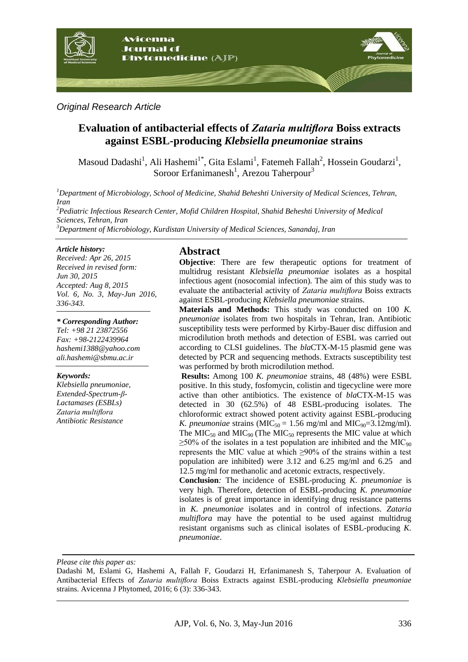

### *Original Research Article*

# **Evaluation of antibacterial effects of** *Zataria multiflora* **Boiss extracts against ESBL-producing** *Klebsiella pneumoniae* **strains**

Masoud Dadashi<sup>1</sup>, Ali Hashemi<sup>1\*</sup>, Gita Eslami<sup>1</sup>, Fatemeh Fallah<sup>2</sup>, Hossein Goudarzi<sup>1</sup>, Soroor Erfanimanesh<sup>1</sup>, Arezou Taherpour<sup>3</sup>

*<sup>1</sup>Department of Microbiology, School of Medicine, Shahid Beheshti University of Medical Sciences, Tehran, Iran <sup>2</sup>Pediatric Infectious Research Center, Mofid Children Hospital, Shahid Beheshti University of Medical Sciences, Tehran, Iran <sup>3</sup>Department of Microbiology, Kurdistan University of Medical Sciences, Sanandaj, Iran* 

#### *Article history:*

*Received: Apr 26, 2015 Received in revised form: Jun 30, 2015 Accepted: Aug 8, 2015 Vol. 6, No. 3, May-Jun 2016, 336-343.*

#### *\* Corresponding Author:*

*Tel: +98 21 23872556 Fax: +98-2122439964 [hashemi1388@yahoo.com](mailto:hashemi1388@yahoo.com) ali.hashemi@sbmu.ac.ir* 

#### *Keywords:*

*Klebsiella pneumoniae, Extended-Spectrum-β-Lactamases (ESBLs) Zataria multiflora Antibiotic Resistance*

#### **Abstract**

**Objective**: There are few therapeutic options for treatment of multidrug resistant *Klebsiella pneumoniae* isolates as a hospital infectious agent (nosocomial infection). The aim of this study was to evaluate the antibacterial activity of *Zataria multiflora* Boiss extracts against ESBL-producing *Klebsiella pneumoniae* strains.

**Materials and Methods:** This study was conducted on 100 *K. pneumoniae* isolates from two hospitals in Tehran, Iran. Antibiotic susceptibility tests were performed by Kirby-Bauer disc diffusion and microdilution broth methods and detection of ESBL was carried out according to CLSI guidelines. The *bla*CTX-M-15 plasmid gene was detected by PCR and sequencing methods. Extracts susceptibility test was performed by broth microdilution method.

**Results:** Among 100 *K. pneumoniae* strains, 48 (48%) were ESBL positive. In this study, fosfomycin, colistin and tigecycline were more active than other antibiotics. The existence of *bla*CTX-M-15 was detected in 30 (62.5%) of 48 ESBL-producing isolates. The chloroformic extract showed potent activity against ESBL-producing *K. pneumoniae* strains ( $MIC_{50} = 1.56$  mg/ml and  $MIC_{90} = 3.12$ mg/ml). The  $MIC<sub>50</sub>$  and  $MIC<sub>90</sub>$  (The  $MIC<sub>50</sub>$  represents the MIC value at which  $\geq$ 50% of the isolates in a test population are inhibited and the MIC<sub>90</sub> represents the MIC value at which ≥90% of the strains within a test population are inhibited) were 3.12 and 6.25 mg/ml and 6.25 and 12.5 mg/ml for methanolic and acetonic extracts, respectively.

**Conclusion***:* The incidence of ESBL-producing *K. pneumoniae* is very high. Therefore, detection of ESBL-producing *K. pneumoniae*  isolates is of great importance in identifying drug resistance patterns in *K. pneumoniae* isolates and in control of infections. *Zataria multiflora* may have the potential to be used against multidrug resistant organisms such as clinical isolates of ESBL-producing *K. pneumoniae*.

*Please cite this paper as:* 

Dadashi M, Eslami G, Hashemi A, Fallah F, Goudarzi H, Erfanimanesh S, Taherpour A. Evaluation of Antibacterial Effects of *Zataria multiflora* Boiss Extracts against ESBL-producing *Klebsiella pneumoniae* strains. Avicenna J Phytomed, 2016; 6 (3): 336-343.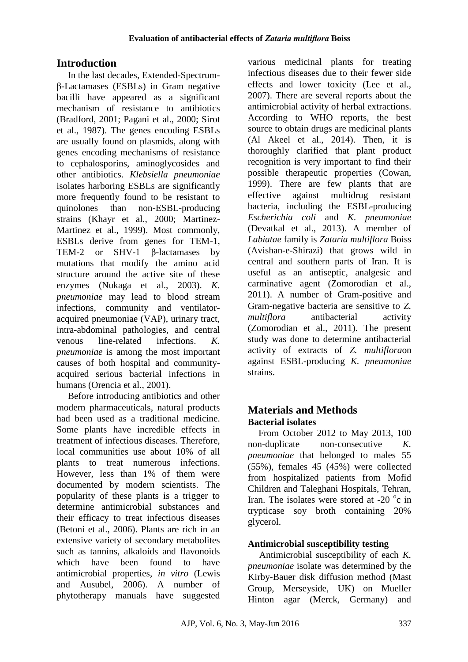# **Introduction**

In the last decades, Extended-Spectrumβ-Lactamases (ESBLs) in Gram negative bacilli have appeared as a significant mechanism of resistance to antibiotics (Bradford, 2001; Pagani et al., 2000; Sirot et al., 1987). The genes encoding ESBLs are usually found on plasmids, along with genes encoding mechanisms of resistance to cephalosporins, aminoglycosides and other antibiotics. *Klebsiella pneumoniae*  isolates harboring ESBLs are significantly more frequently found to be resistant to quinolones than non-ESBL-producing strains (Khayr et al., 2000; Martinez-Martinez et al., 1999). Most commonly, ESBLs derive from genes for TEM-1, TEM-2 or SHV-1 β-lactamases by mutations that modify the amino acid structure around the active site of these enzymes (Nukaga et al., 2003). *K. pneumoniae* may lead to blood stream infections, community and ventilatoracquired pneumoniae (VAP), urinary tract, intra-abdominal pathologies, and central venous line-related infections. *K. pneumoniae* is among the most important causes of both hospital and communityacquired serious bacterial infections in humans (Orencia et al., 2001).

Before introducing antibiotics and other modern pharmaceuticals, natural products had been used as a traditional medicine. Some plants have incredible effects in treatment of infectious diseases. Therefore, local communities use about 10% of all plants to treat numerous infections. However, less than 1% of them were documented by modern scientists. The popularity of these plants is a trigger to determine antimicrobial substances and their efficacy to treat infectious diseases (Betoni et al., 2006). Plants are rich in an extensive variety of secondary metabolites such as tannins, alkaloids and flavonoids which have been found to have antimicrobial properties, *in vitro* (Lewis and Ausubel, 2006). A number of phytotherapy manuals have suggested

various medicinal plants for treating infectious diseases due to their fewer side effects and lower toxicity (Lee et al., 2007). There are several reports about the antimicrobial activity of herbal extractions. According to WHO reports, the best source to obtain drugs are medicinal plants (Al Akeel et al., 2014). Then, it is thoroughly clarified that plant product recognition is very important to find their possible therapeutic properties (Cowan, 1999). There are few plants that are effective against multidrug resistant bacteria, including the ESBL-producing *Escherichia coli* and *K. pneumoniae*  (Devatkal et al., 2013). A member of *Labiatae* family is *Zataria multiflora* Boiss (Avishan-e-Shirazi) that grows wild in central and southern parts of Iran. It is useful as an antiseptic, analgesic and carminative agent (Zomorodian et al., 2011). A number of Gram-positive and Gram-negative bacteria are sensitive to *Z. multiflora* antibacterial activity (Zomorodian et al., 2011). The present study was done to determine antibacterial activity of extracts of *Z. multiflora*on against ESBL-producing *K. pneumoniae* strains.

# **Materials and Methods Bacterial isolates**

From October 2012 to May 2013, 100 non-duplicate non-consecutive *K. pneumoniae* that belonged to males 55 (55%), females 45 (45%) were collected from hospitalized patients from Mofid Children and Taleghani Hospitals, Tehran, Iran. The isolates were stored at -20 $\degree$ c in trypticase soy broth containing 20% glycerol.

# **Antimicrobial susceptibility testing**

Antimicrobial susceptibility of each *K. pneumoniae* isolate was determined by the Kirby-Bauer disk diffusion method (Mast Group, Merseyside, UK) on Mueller Hinton agar (Merck, Germany) and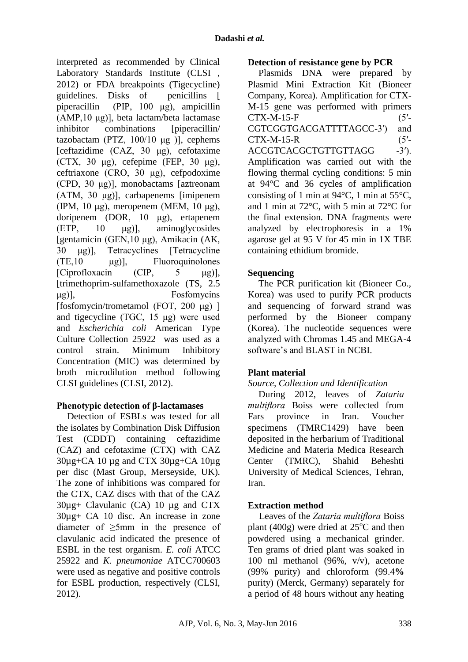interpreted as recommended by Clinical Laboratory Standards Institute (CLSI , 2012) or FDA breakpoints (Tigecycline) guidelines. Disks of penicillins [ piperacillin (PIP, 100 μg), ampicillin (AMP,10 μg)], beta lactam/beta lactamase inhibitor combinations [piperacillin] tazobactam (PTZ,  $100/10 \mu g$ ), cephems [ceftazidime (CAZ, 30 μg), cefotaxime (CTX, 30 μg), cefepime (FEP, 30 μg), ceftriaxone (CRO, 30 μg), cefpodoxime (CPD, 30 μg)], monobactams [aztreonam (ATM, 30 μg)], carbapenems [imipenem (IPM, 10 μg), meropenem (MEM, 10 μg), doripenem (DOR, 10 μg), ertapenem (ETP, 10 μg)], aminoglycosides [gentamicin (GEN,10 μg), Amikacin (AK, 30 μg)], Tetracyclines [Tetracycline (TE,10 μg)], Fluoroquinolones [Ciprofloxacin (CIP, 5 μg)], [trimethoprim-sulfamethoxazole (TS, 2.5 μg)], Fosfomycins [fosfomycin/trometamol (FOT, 200 μg) ] and tigecycline (TGC, 15 μg) were used and *Escherichia coli* American Type Culture Collection 25922 was used as a control strain. Minimum Inhibitory Concentration (MIC) was determined by broth microdilution method following CLSI guidelines (CLSI, 2012).

## **Phenotypic detection of β-lactamases**

Detection of ESBLs was tested for all the isolates by Combination Disk Diffusion Test (CDDT) containing ceftazidime (CAZ) and cefotaxime (CTX) with CAZ 30µg+CA 10 µg and CTX 30µg+CA 10µg per disc (Mast Group, Merseyside, UK). The zone of inhibitions was compared for the CTX, CAZ discs with that of the CAZ 30µg+ Clavulanic (CA) 10 µg and CTX 30µg+ CA 10 disc. An increase in zone diameter of  $\geq$ 5mm in the presence of clavulanic acid indicated the presence of ESBL in the test organism. *E. coli* ATCC 25922 and *K. pneumoniae* ATCC700603 were used as negative and positive controls for ESBL production, respectively (CLSI, 2012).

### **Detection of resistance gene by PCR**

Plasmids DNA were prepared by Plasmid Mini Extraction Kit (Bioneer Company, Korea). Amplification for CTX-M-15 gene was performed with primers  $CTX-M-15-F$  (5'-CGTCGGTGACGATTTTAGCC-3′) and  $CTX-M-15-R$  (5'-ACCGTCACGCTGTTGTTAGG -3'). Amplification was carried out with the flowing thermal cycling conditions: 5 min at 94°C and 36 cycles of amplification consisting of 1 min at 94°C, 1 min at 55°C, and 1 min at 72°C, with 5 min at 72°C for the final extension. DNA fragments were analyzed by electrophoresis in a 1% agarose gel at 95 V for 45 min in 1X TBE containing ethidium bromide.

# **Sequencing**

The PCR purification kit (Bioneer Co., Korea) was used to purify PCR products and sequencing of forward strand was performed by the Bioneer company (Korea). The nucleotide sequences were analyzed with Chromas 1.45 and MEGA-4 software's and BLAST in NCBI.

# **Plant material**

## *Source, Collection and Identification*

During 2012, leaves of *Zataria multiflora* Boiss were collected from Fars province in Iran. Voucher specimens (TMRC1429) have been deposited in the herbarium of Traditional Medicine and Materia Medica Research Center (TMRC), Shahid Beheshti University of Medical Sciences, Tehran, Iran.

## **Extraction method**

Leaves of the *Zataria multiflora* Boiss plant (400g) were dried at  $25^{\circ}$ C and then powdered using a mechanical grinder. Ten grams of dried plant was soaked in 100 ml methanol (96%, v/v), acetone (99% purity) and chloroform (99.4**%**  purity) (Merck, Germany) separately for a period of 48 hours without any heating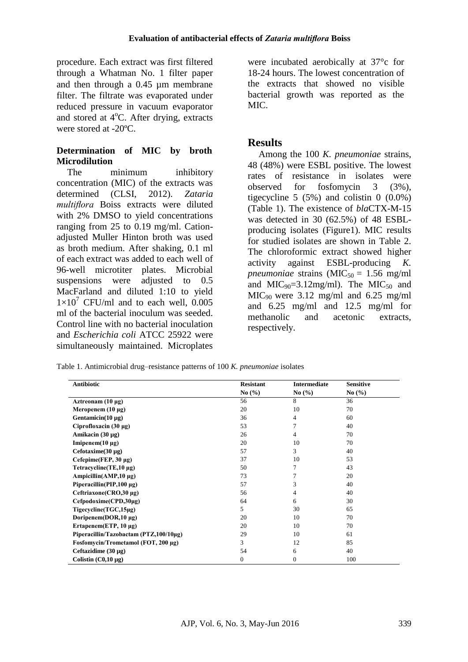procedure. Each extract was first filtered through a Whatman No. 1 filter paper and then through a 0.45 µm membrane filter. The filtrate was evaporated under reduced pressure in vacuum evaporator and stored at  $4^{\circ}$ C. After drying, extracts were stored at -20<sup>o</sup>C.

# **Determination of MIC by broth Microdilution**

The minimum inhibitory concentration (MIC) of the extracts was determined (CLSI, 2012). *Zataria multiflora* Boiss extracts were diluted with 2% DMSO to yield concentrations ranging from 25 to 0.19 mg/ml. Cationadjusted Muller Hinton broth was used as broth medium. After shaking, 0.1 ml of each extract was added to each well of 96-well microtiter plates. Microbial suspensions were adjusted to 0.5 MacFarland and diluted 1:10 to yield  $1\times10^{7}$  CFU/ml and to each well, 0.005 ml of the bacterial inoculum was seeded. Control line with no bacterial inoculation and *Escherichia coli* ATCC 25922 were simultaneously maintained. Microplates

were incubated aerobically at 37°c for 18-24 hours. The lowest concentration of the extracts that showed no visible bacterial growth was reported as the MIC.

# **Results**

Among the 100 *K. pneumoniae* strains, 48 (48%) were ESBL positive. The lowest rates of resistance in isolates were observed for fosfomycin 3 (3%), tigecycline 5  $(5\%)$  and colistin 0  $(0.0\%)$ (Table 1). The existence of *bla*CTX-M-15 was detected in 30 (62.5%) of 48 ESBLproducing isolates (Figure1). MIC results for studied isolates are shown in Table 2. The chloroformic extract showed higher activity against ESBL-producing *K. pneumoniae* strains  $(MIC_{50} = 1.56$  mg/ml and  $MIC<sub>90</sub>=3.12mg/ml$ . The  $MIC<sub>50</sub>$  and  $MIC<sub>90</sub> were 3.12 mg/ml and 6.25 mg/ml$ and 6.25 mg/ml and 12.5 mg/ml for methanolic and acetonic extracts, respectively.

Table 1. Antimicrobial drug–resistance patterns of 100 *K. pneumoniae* isolates

| <b>Antibiotic</b>                      | <b>Resistant</b>              | <b>Intermediate</b> | <b>Sensitive</b>              |
|----------------------------------------|-------------------------------|---------------------|-------------------------------|
|                                        | No $\left(\frac{0}{0}\right)$ | No $(\% )$          | No $\left(\frac{9}{6}\right)$ |
| Aztreonam $(10 \mu g)$                 | 56                            | 8                   | 36                            |
| Meropenem $(10 \mu g)$                 | 20                            | 10                  | 70                            |
| Gentamicin( $10 \mu g$ )               | 36                            | 4                   | 60                            |
| Ciprofloxacin $(30 \mu g)$             | 53                            | 7                   | 40                            |
| Amikacin $(30 \mu g)$                  | 26                            | 4                   | 70                            |
| Imipenem $(10 \mu g)$                  | 20                            | 10                  | 70                            |
| Cefotaxime $(30 \mu g)$                | 57                            | 3                   | 40                            |
| Cefepime(FEP, $30 \mu g$ )             | 37                            | 10                  | 53                            |
| Tetracycline(TE,10 µg)                 | 50                            | 7                   | 43                            |
| Ampicillin(AMP,10 $\mu$ g)             | 73                            | 7                   | 20                            |
| Piperacillin(PIP, $100 \mu g$ )        | 57                            | 3                   | 40                            |
| Ceftriaxone(CRO, 30 μg)                | 56                            | 4                   | 40                            |
| $Cefpodoxime(CPD,30\mu g)$             | 64                            | 6                   | 30                            |
| Tigecycline(TGC,15µg)                  | 5                             | 30                  | 65                            |
| Doripenem(DOR,10 µg)                   | 20                            | 10                  | 70                            |
| Ertapenem $(ETP, 10 \mu g)$            | 20                            | 10                  | 70                            |
| Piperacillin/Tazobactam (PTZ,100/10µg) | 29                            | 10                  | 61                            |
| Fosfomycin/Trometamol (FOT, 200 μg)    | 3                             | 12                  | 85                            |
| Ceftazidime $(30 \mu g)$               | 54                            | 6                   | 40                            |
| Colistin $(C0,10 \mu g)$               | $\mathbf{0}$                  | $\mathbf{0}$        | 100                           |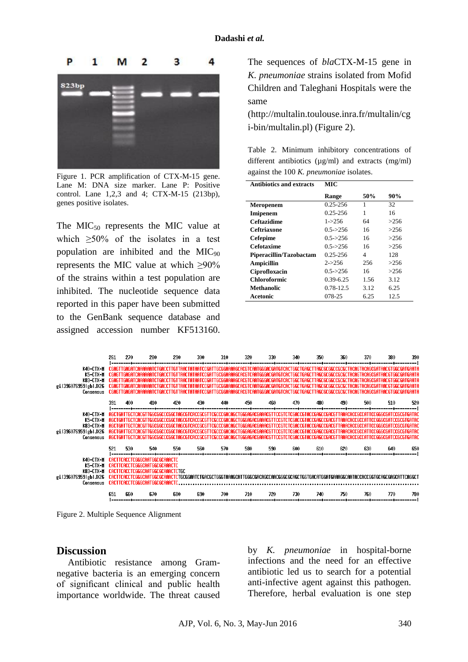

Figure 1. PCR amplification of CTX-M-15 gene. Lane M: DNA size marker. Lane P: Positive control. Lane 1,2,3 and 4; CTX-M-15 (213bp), genes positive isolates.

The  $MIC<sub>50</sub>$  represents the MIC value at which  $>50\%$  of the isolates in a test population are inhibited and the  $MIC<sub>90</sub>$ represents the MIC value at which  $\geq 90\%$ of the strains within a test population are inhibited. The nucleotide sequence data reported in this paper have been submitted to the GenBank sequence database and assigned accession number KF513160.

The sequences of *bla*CTX-M-15 gene in *K. pneumoniae* strains isolated from Mofid Children and Taleghani Hospitals were the same

(http://multalin.toulouse.inra.fr/multalin/cg i-bin/multalin.pl) (Figure 2).

Table 2. Minimum inhibitory concentrations of different antibiotics  $(u\varrho/ml)$  and extracts  $(m\varrho/ml)$ against the 100 *K. pneumoniae* isolates.

| <b>Antibiotics and extracts</b> | MIC.          |      |        |
|---------------------------------|---------------|------|--------|
|                                 | Range         | 50%  | $90\%$ |
| Meropenem                       | 0.25-256      | 1    | 32     |
| <b>Imipenem</b>                 | $0.25 - 256$  | 1    | 16     |
| Ceftazidime                     | $1 - 256$     | 64   | >256   |
| Ceftriaxone                     | $0.5 - > 256$ | 16   | >256   |
| <b>Cefepime</b>                 | $0.5 - > 256$ | 16   | >256   |
| Cefotaxime                      | $0.5 - > 256$ | 16   | >256   |
| Piperacillin/Tazobactam         | $0.25 - 256$  | 4    | 128    |
| Ampicillin                      | $2 - 256$     | 256  | >256   |
| Ciprofloxacin                   | $0.5 - > 256$ | 16   | >256   |
| <b>Chloroformic</b>             | $0.39 - 6.25$ | 1.56 | 3.12   |
| Methanolic                      | 0.78-12.5     | 3.12 | 6.25   |
| Acetonic                        | 078-25        | 6.25 | 12.5   |



Figure 2. Multiple Sequence Alignment

#### **Discussion**

Antibiotic resistance among Gramnegative bacteria is an emerging concern of significant clinical and public health importance worldwide. The threat caused by *K. pneumoniae* in hospital-borne infections and the need for an effective antibiotic led us to search for a potential anti-infective agent against this pathogen. Therefore, herbal evaluation is one step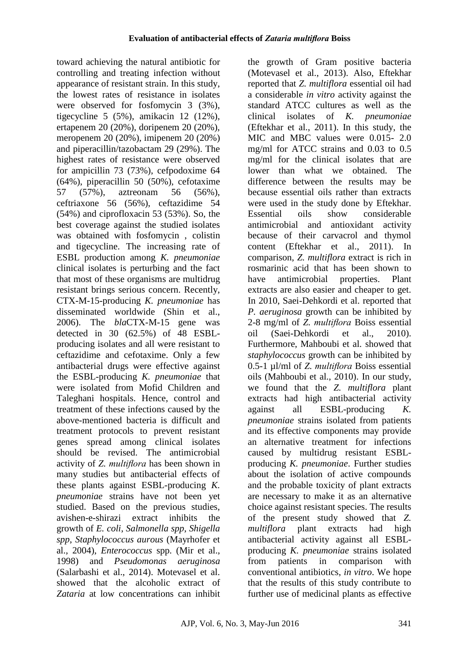toward achieving the natural antibiotic for controlling and treating infection without appearance of resistant strain. In this study, the lowest rates of resistance in isolates were observed for fosfomycin 3 (3%), tigecycline 5 (5%), amikacin 12 (12%), ertapenem 20 (20%), doripenem 20 (20%), meropenem 20 (20%), imipenem 20 (20%) and piperacillin/tazobactam 29 (29%). The highest rates of resistance were observed for ampicillin 73 (73%), cefpodoxime 64 (64%), piperacillin 50 (50%), cefotaxime 57 (57%), aztreonam 56 (56%), ceftriaxone 56 (56%), ceftazidime 54 (54%) and ciprofloxacin 53 (53%). So, the best coverage against the studied isolates was obtained with fosfomycin , colistin and tigecycline. The increasing rate of ESBL production among *K. pneumoniae*  clinical isolates is perturbing and the fact that most of these organisms are multidrug resistant brings serious concern. Recently, CTX-M-15-producing *K. pneumoniae* has disseminated worldwide (Shin et al., 2006). The *bla*CTX-M-15 gene was detected in 30 (62.5%) of 48 ESBLproducing isolates and all were resistant to ceftazidime and cefotaxime. Only a few antibacterial drugs were effective against the ESBL-producing *K. pneumoniae* that were isolated from Mofid Children and Taleghani hospitals. Hence, control and treatment of these infections caused by the above-mentioned bacteria is difficult and treatment protocols to prevent resistant genes spread among clinical isolates should be revised. The antimicrobial activity of *Z. multiflora* has been shown in many studies but antibacterial effects of these plants against ESBL-producing *K. pneumoniae* strains have not been yet studied. Based on the previous studies, avishen-e-shirazi extract inhibits the growth of *E. coli*, *Salmonella spp*, *Shigella spp*, *Staphylococcus aurous* (Mayrhofer et al., 2004), *Enterococcus* spp. (Mir et al., 1998) and *Pseudomonas aeruginosa* (Salarbashi et al., 2014). Motevasel et al. showed that the alcoholic extract of *Zataria* at low concentrations can inhibit

the growth of Gram positive bacteria (Motevasel et al., 2013). Also, Eftekhar reported that *Z. multiflora* essential oil had a considerable *in vitro* activity against the standard ATCC cultures as well as the clinical isolates of *K. pneumoniae*  (Eftekhar et al., 2011). In this study, the MIC and MBC values were 0.015- 2.0 mg/ml for ATCC strains and 0.03 to 0.5 mg/ml for the clinical isolates that are lower than what we obtained. The difference between the results may be because essential oils rather than extracts were used in the study done by Eftekhar. Essential oils show considerable antimicrobial and antioxidant activity because of their carvacrol and thymol content (Eftekhar et al., 2011). In comparison, *Z. multiflora* extract is rich in rosmarinic acid that has been shown to have antimicrobial properties. Plant extracts are also easier and cheaper to get. In 2010, Saei-Dehkordi et al. reported that *P. aeruginosa* growth can be inhibited by 2-8 mg/ml of *Z. multiflora* Boiss essential oil (Saei-Dehkordi et al., 2010). Furthermore, Mahboubi et al. showed that *staphylococcus* growth can be inhibited by 0.5-1 µl/ml of *Z. multiflora* Boiss essential oils (Mahboubi et al., 2010). In our study, we found that the *Z. multiflora* plant extracts had high antibacterial activity against all ESBL-producing *K. pneumoniae* strains isolated from patients and its effective components may provide an alternative treatment for infections caused by multidrug resistant ESBLproducing *K. pneumoniae*. Further studies about the isolation of active compounds and the probable toxicity of plant extracts are necessary to make it as an alternative choice against resistant species. The results of the present study showed that *Z. multiflora* plant extracts had high antibacterial activity against all ESBLproducing *K. pneumoniae* strains isolated from patients in comparison with conventional antibiotics, *in vitro*. We hope that the results of this study contribute to further use of medicinal plants as effective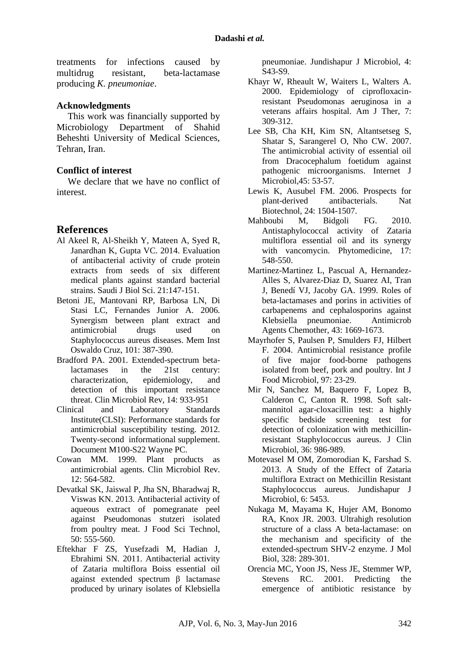treatments for infections caused by multidrug resistant, beta-lactamase producing *K. pneumoniae*.

#### **Acknowledgments**

This work was financially supported by Microbiology Department of Shahid Beheshti University of Medical Sciences, Tehran, Iran.

#### **Conflict of interest**

We declare that we have no conflict of interest.

### **References**

- Al Akeel R, Al-Sheikh Y, Mateen A, Syed R, Janardhan K, Gupta VC. 2014. Evaluation of antibacterial activity of crude protein extracts from seeds of six different medical plants against standard bacterial strains. Saudi J Biol Sci. 21:147-151.
- Betoni JE, Mantovani RP, Barbosa LN, Di Stasi LC, Fernandes Junior A. 2006. Synergism between plant extract and antimicrobial drugs used on Staphylococcus aureus diseases. Mem Inst Oswaldo Cruz, 101: 387-390.
- Bradford PA. 2001. Extended-spectrum betalactamases in the 21st century: characterization, epidemiology, and detection of this important resistance threat. Clin Microbiol Rev, 14: 933-951
- Clinical and Laboratory Standards Institute(CLSI): Performance standards for antimicrobial susceptibility testing. 2012. Twenty-second informational supplement. Document M100-S22 Wayne PC.
- Cowan MM. 1999. Plant products as antimicrobial agents. Clin Microbiol Rev.  $12: 564-582.$
- Devatkal SK, Jaiswal P, Jha SN, Bharadwaj R, Viswas KN. 2013. Antibacterial activity of aqueous extract of pomegranate peel against Pseudomonas stutzeri isolated from poultry meat. J Food Sci Technol,  $50.555560$
- Eftekhar F ZS, Yusefzadi M, Hadian J, Ebrahimi SN. 2011. Antibacterial activity of Zataria multiflora Boiss essential oil against extended spectrum β lactamase produced by urinary isolates of Klebsiella

pneumoniae. Jundishapur J Microbiol, 4: S43-S9.

- Khayr W, Rheault W, Waiters L, Walters A. 2000. Epidemiology of ciprofloxacinresistant Pseudomonas aeruginosa in a veterans affairs hospital. Am J Ther, 7: 309-312.
- Lee SB, Cha KH, Kim SN, Altantsetseg S, Shatar S, Sarangerel O, [Nho CW.](http://www.ncbi.nlm.nih.gov/pubmed/?term=Nho%20CW%5BAuthor%5D&cauthor=true&cauthor_uid=17342056) 2007. The antimicrobial activity of essential oil from Dracocephalum foetidum against pathogenic microorganisms. Internet J Microbiol,45: 53-57.
- Lewis K, Ausubel FM. 2006. Prospects for plant-derived antibacterials. Nat Biotechnol, 24: 1504-1507.
- Mahboubi M, Bidgoli FG. 2010. Antistaphylococcal activity of Zataria multiflora essential oil and its synergy with vancomycin. Phytomedicine, 17: 548-550.
- Martinez-Martinez L, Pascual A, Hernandez-Alles S, Alvarez-Diaz D, Suarez AI, Tran J, [Benedí VJ,](http://www.ncbi.nlm.nih.gov/pubmed/?term=Bened%C3%AD%20VJ%5BAuthor%5D&cauthor=true&cauthor_uid=10390220) [Jacoby GA.](http://www.ncbi.nlm.nih.gov/pubmed/?term=Jacoby%20GA%5BAuthor%5D&cauthor=true&cauthor_uid=10390220) 1999. Roles of beta-lactamases and porins in activities of carbapenems and cephalosporins against Klebsiella pneumoniae. Antimicrob Agents Chemother, 43: 1669-1673.
- Mayrhofer S, Paulsen P, Smulders FJ, Hilbert F. 2004. Antimicrobial resistance profile of five major food-borne pathogens isolated from beef, pork and poultry. Int J Food Microbiol, 97: 23-29.
- Mir N, Sanchez M, Baquero F, Lopez B, Calderon C, Canton R. 1998. Soft saltmannitol agar-cloxacillin test: a highly specific bedside screening test for detection of colonization with methicillinresistant Staphylococcus aureus. J Clin Microbiol, 36: 986-989.
- Motevasel M OM, Zomorodian K, Farshad S. 2013. A Study of the Effect of Zataria multiflora Extract on Methicillin Resistant Staphylococcus aureus. Jundishapur J Microbiol, 6: 5453.
- Nukaga M, Mayama K, Hujer AM, Bonomo RA, Knox JR. 2003. Ultrahigh resolution structure of a class A beta-lactamase: on the mechanism and specificity of the extended-spectrum SHV-2 enzyme. J Mol Biol, 328: 289-301.
- Orencia MC, Yoon JS, Ness JE, Stemmer WP, Stevens RC. 2001. Predicting the emergence of antibiotic resistance by